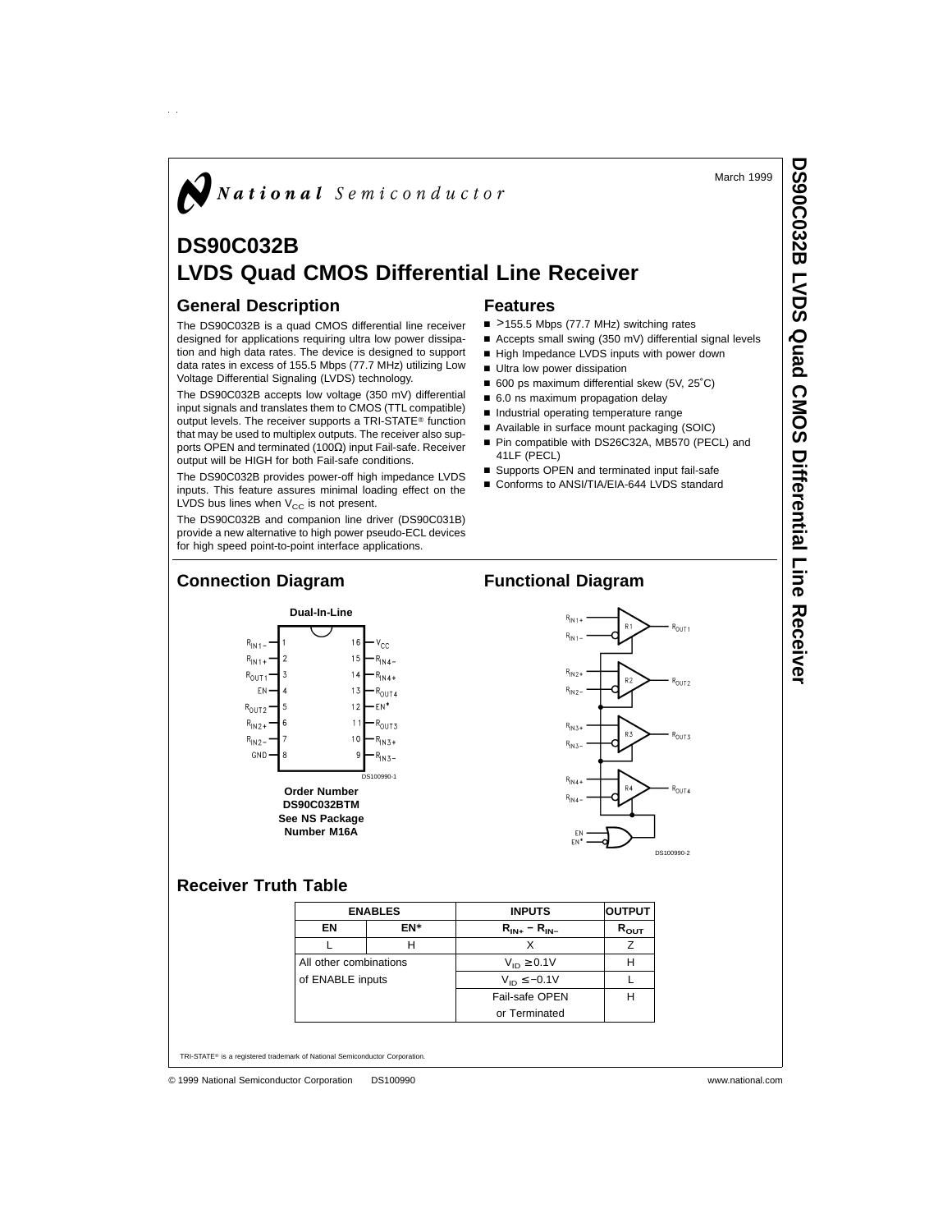March 1999

# $\boldsymbol{N}$  National Semiconductor

# **DS90C032B LVDS Quad CMOS Differential Line Receiver**

#### **General Description**

 $\hat{p}$ 

The DS90C032B is a quad CMOS differential line receiver designed for applications requiring ultra low power dissipation and high data rates. The device is designed to support data rates in excess of 155.5 Mbps (77.7 MHz) utilizing Low Voltage Differential Signaling (LVDS) technology.

The DS90C032B accepts low voltage (350 mV) differential input signals and translates them to CMOS (TTL compatible) output levels. The receiver supports a TRI-STATE® function that may be used to multiplex outputs. The receiver also supports OPEN and terminated (100Ω) input Fail-safe. Receiver output will be HIGH for both Fail-safe conditions.

The DS90C032B provides power-off high impedance LVDS inputs. This feature assures minimal loading effect on the LVDS bus lines when  $V_{CC}$  is not present.

The DS90C032B and companion line driver (DS90C031B) provide a new alternative to high power pseudo-ECL devices for high speed point-to-point interface applications.

**Dual-In-Line**

**Order Number DS90C032BTM See NS Package Number M16A**

DS100990-1

V<sub>ee</sub>

 $R_{IN4}$  $R_{\text{IN4+}}$ 

 $R_{\text{OUT 4}}$ EN\*

 $R_{01173}$ 

 $R_{1N,3+}$ 

R<br>1N3-

16

#### **Features**

- >155.5 Mbps (77.7 MHz) switching rates
- Accepts small swing (350 mV) differential signal levels
- High Impedance LVDS inputs with power down
- Ultra low power dissipation
- 600 ps maximum differential skew (5V, 25°C)
- 6.0 ns maximum propagation delay
- n Industrial operating temperature range
- Available in surface mount packaging (SOIC)
- Pin compatible with DS26C32A, MB570 (PECL) and 41LF (PECL)
- Supports OPEN and terminated input fail-safe
- Conforms to ANSI/TIA/EIA-644 LVDS standard

### **Connection Diagram Functional Diagram**



## **Receiver Truth Table**

 $R_{\text{IN1}}$ 

 $R_{\text{IN1+}}$ 

 $R_{\text{OUT 1}}$ FN

 $R_{\text{OUT2}}$ 

 $R_{N2+}$  $R_{N2}$ 

GND

| <b>ENABLES</b>         |     | <b>INPUTS</b>             | <b>OUTPUT</b> |
|------------------------|-----|---------------------------|---------------|
| EN                     | EN* | $R_{IN+} - R_{IN-}$       | $R_{\rm OUT}$ |
|                        | н   |                           | 7             |
| All other combinations |     | $V_{\text{in}} \geq 0.1V$ |               |
| of ENABLE inputs       |     | $V_{\text{ID}} \le -0.1V$ |               |
|                        |     | Fail-safe OPEN            |               |
|                        |     | or Terminated             |               |

TRI-STATE® is a registered trademark of National Semiconductor Corporation.

**Receiver**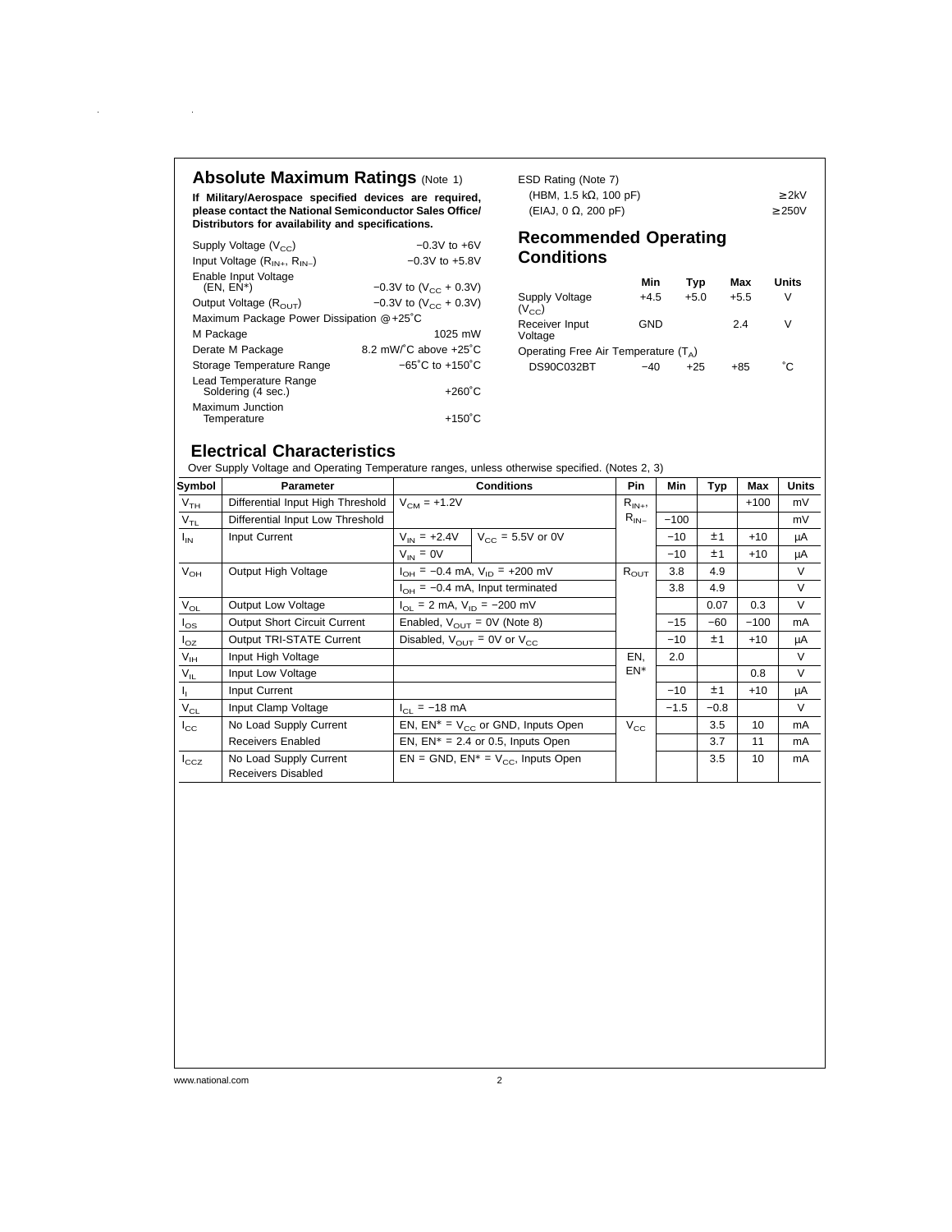# **Absolute Maximum Ratings (Note 1)**

 $\sim$ 

 $\bar{z}$ 

**If Military/Aerospace specified devices are required, please contact the National Semiconductor Sales Office/ Distributors for availability and specifications.**

| Supply Voltage $(V_{cc})$                            | $-0.3V$ to $+6V$                    |
|------------------------------------------------------|-------------------------------------|
| Input Voltage $(R_{IN+}, R_{IN-})$                   | $-0.3V$ to $+5.8V$                  |
| Enable Input Voltage<br>$(EN, EN^*)$                 | $-0.3V$ to (V <sub>CC</sub> + 0.3V) |
| Output Voltage $(R_{\text{OUT}})$                    | $-0.3V$ to (V <sub>cc</sub> + 0.3V) |
| Maximum Package Power Dissipation $@ + 25^{\circ}$ C |                                     |
| M Package                                            | 1025 mW                             |
| Derate M Package                                     | 8.2 mW/°C above +25°C               |
| Storage Temperature Range                            | $-65^{\circ}$ C to $+150^{\circ}$ C |
| Lead Temperature Range<br>Soldering (4 sec.)         | $+260^{\circ}$ C                    |
| Maximum Junction<br>Temperature                      | $+150^{\circ}$ C                    |

| ESD Rating (Note 7)            |       |
|--------------------------------|-------|
| (HBM, 1.5 k $\Omega$ , 100 pF) | > 2kV |
| $(EIAJ, 0 \Omega, 200 pF)$     | >250V |

### **Recommended Operating Conditions**

|                                        | Min    | Tvp    | Max    | Units |
|----------------------------------------|--------|--------|--------|-------|
| Supply Voltage<br>$(V_{cc})$           | $+4.5$ | $+5.0$ | $+5.5$ | V     |
| Receiver Input<br>Voltage              | GND    |        | 24     | V     |
| Operating Free Air Temperature $(T_A)$ |        |        |        |       |
| DS90C032BT                             | -40    | +25    | +85    | °C.   |

### **Electrical Characteristics**

Over Supply Voltage and Operating Temperature ranges, unless otherwise specified. (Notes 2, 3)

| Symbol          | <b>Parameter</b>                                    | <b>Conditions</b>                                  | Pin          | Min    | Typ    | Max    | Units  |
|-----------------|-----------------------------------------------------|----------------------------------------------------|--------------|--------|--------|--------|--------|
| V <sub>TH</sub> | Differential Input High Threshold                   | $V_{CM}$ = +1.2V                                   | $R_{IN+}$    |        |        | $+100$ | mV     |
| $V_{TL}$        | Differential Input Low Threshold                    |                                                    | $R_{IN-}$    | $-100$ |        |        | mV     |
| $I_{IN}$        | Input Current                                       | $V_{CC}$ = 5.5V or 0V<br>$V_{IN}$ = +2.4V          |              | $-10$  | ±1     | $+10$  | μA     |
|                 |                                                     | $V_{IN} = 0V$                                      |              | $-10$  | ±1     | $+10$  | μA     |
| $V_{OH}$        | Output High Voltage                                 | $I_{OH} = -0.4$ mA, $V_{ID} = +200$ mV             | $R_{OUT}$    | 3.8    | 4.9    |        | $\vee$ |
|                 |                                                     | $I_{OH}$ = -0.4 mA, Input terminated               |              | 3.8    | 4.9    |        | $\vee$ |
| $V_{OL}$        | <b>Output Low Voltage</b>                           | $I_{\text{OL}}$ = 2 mA, $V_{\text{ID}}$ = -200 mV  |              |        | 0.07   | 0.3    | $\vee$ |
| $I_{OS}$        | <b>Output Short Circuit Current</b>                 | Enabled, $V_{\text{OUT}} = 0V$ (Note 8)            |              | $-15$  | $-60$  | $-100$ | mA     |
| $I_{OZ}$        | Output TRI-STATE Current                            | Disabled, $V_{\text{OUT}} = 0V$ or $V_{\text{CC}}$ |              | $-10$  | ±1     | $+10$  | μA     |
| $V_{\text{IH}}$ | Input High Voltage                                  |                                                    | EN,          | 2.0    |        |        | $\vee$ |
| $V_{IL}$        | Input Low Voltage                                   |                                                    | $EN^*$       |        |        | 0.8    | $\vee$ |
| Ч.              | Input Current                                       |                                                    |              | $-10$  | ±1     | $+10$  | μA     |
| $\rm V_{CL}$    | Input Clamp Voltage                                 | $I_{\text{Cl}}$ = -18 mA                           |              | $-1.5$ | $-0.8$ |        | $\vee$ |
| $I_{\rm CC}$    | No Load Supply Current                              | EN, $EN^* = V_{CC}$ or GND, Inputs Open            | $V_{\rm CC}$ |        | 3.5    | 10     | mA     |
|                 | Receivers Enabled                                   | EN, $EN^* = 2.4$ or 0.5, Inputs Open               |              |        | 3.7    | 11     | mA     |
| $I_{\rm CCZ}$   | No Load Supply Current<br><b>Receivers Disabled</b> | $EN = GND$ , $EN^* = V_{CC}$ , Inputs Open         |              |        | 3.5    | 10     | mA     |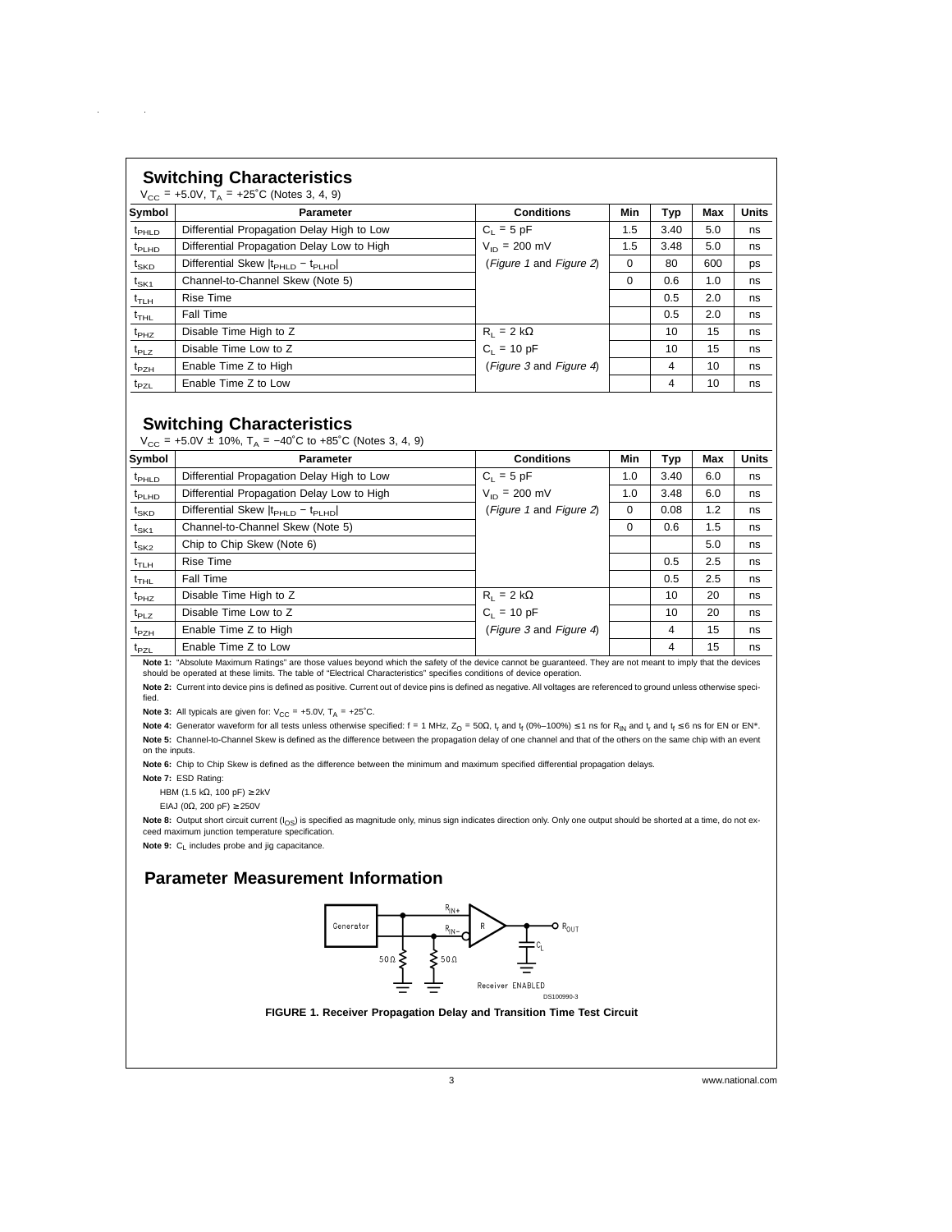|                   | <b>Switching Characteristics</b><br>$V_{CC}$ = +5.0V, T <sub>A</sub> = +25°C (Notes 3, 4, 9)                |                                  |     |      |     |              |
|-------------------|-------------------------------------------------------------------------------------------------------------|----------------------------------|-----|------|-----|--------------|
| Symbol            | Parameter                                                                                                   | <b>Conditions</b>                | Min | Typ  | Max | <b>Units</b> |
| $t_{\text{PHLD}}$ | Differential Propagation Delay High to Low                                                                  | $C_1 = 5$ pF                     | 1.5 | 3.40 | 5.0 | ns           |
| $t_{\text{PLHD}}$ | Differential Propagation Delay Low to High                                                                  | $V_{\text{ID}} = 200 \text{ mV}$ | 1.5 | 3.48 | 5.0 | ns           |
| $t_{SKD}$         | Differential Skew  t <sub>PHLD</sub> - t <sub>PLHD</sub>                                                    | (Figure 1 and Figure 2)          | 0   | 80   | 600 | ps           |
| $t_{SK1}$         | Channel-to-Channel Skew (Note 5)                                                                            |                                  | 0   | 0.6  | 1.0 | ns           |
| $t_{\sf TLH}$     | <b>Rise Time</b>                                                                                            |                                  |     | 0.5  | 2.0 | ns           |
| $t_{THL}$         | Fall Time                                                                                                   |                                  |     | 0.5  | 2.0 | ns           |
| $t_{PHZ}$         | Disable Time High to Z                                                                                      | $R_1 = 2 k\Omega$                |     | 10   | 15  | ns           |
| $t_{PLZ}$         | Disable Time Low to Z                                                                                       | $C_1 = 10 pF$                    |     | 10   | 15  | ns           |
| $t_{PZH}$         | Enable Time Z to High                                                                                       | (Figure 3 and Figure 4)          |     | 4    | 10  | ns           |
| $t_{PZL}$         | Enable Time Z to Low                                                                                        |                                  |     | 4    | 10  | ns           |
|                   | <b>Switching Characteristics</b><br>$V_{CC}$ = +5.0V ± 10%, T <sub>A</sub> = -40°C to +85°C (Notes 3, 4, 9) |                                  |     |      |     |              |
| Symbol            | Parameter                                                                                                   | <b>Conditions</b>                | Min | Typ  | Max | <b>Units</b> |
| $t_{\text{PHLD}}$ | Differential Propagation Delay High to Low                                                                  | $C_1 = 5$ pF                     | 1.0 | 3.40 | 6.0 | ns           |
| $t_{\text{PLHD}}$ | Differential Propagation Delay Low to High                                                                  | $V_{\text{ID}} = 200 \text{ mV}$ | 1.0 | 3.48 | 6.0 | ns           |
| $t_{SKD}$         | Differential Skew  t <sub>PHLD</sub> - t <sub>PLHD</sub>                                                    | (Figure 1 and Figure 2)          | 0   | 0.08 | 1.2 | ns           |

 $t_{SK1}$  Channel-to-Channel Skew (Note 5) 0 0.6 1.5 ns  $t_{SK2}$  Chip to Chip Skew (Note 6) 5.0 ns tTLH Rise Time 0.5 2.5 ns  $t_{\texttt{THL}}$  | Fall Time  $\qquad$  |  $\qquad$  |  $\qquad$  0.5  $\qquad$  2.5  $\qquad$  ns  $t_{PHZ}$  Disable Time High to Z R<sub>L</sub> = 2 kΩ 10 20 ns  $t_{PLZ}$  Disable Time Low to Z C<sub>L</sub> = 10 pF 10 20 ns  $t_{PZH}$  Enable Time Z to High  $(t_{PZH}$  (Figure 3 and Figure 4) 4 15 ns t<sub>PZL</sub> Enable Time Z to Low 4 15 ns **Note 1:** "Absolute Maximum Ratings" are those values beyond which the safety of the device cannot be guaranteed. They are not meant to imply that the devices

**Note 3:** All typicals are given for:  $V_{CC} = +5.0V$ ,  $T_A = +25°C$ .

Note 4: Generator waveform for all tests unless otherwise specified: f = 1 MHz, Z<sub>O</sub> = 50Ω, t<sub>r</sub> and t<sub>f</sub> (0%–100%) ≤ 1 ns for R<sub>IN</sub> and t<sub>r</sub> and t<sub>f</sub> ≤ 6 ns for EN or EN\*. Note 5: Channel-to-Channel Skew is defined as the difference between the propagation delay of one channel and that of the others on the same chip with an event on the inputs.

Note 2: Current into device pins is defined as positive. Current out of device pins is defined as negative. All voltages are referenced to ground unless otherwise speci-

**Note 6:** Chip to Chip Skew is defined as the difference between the minimum and maximum specified differential propagation delays.

should be operated at these limits. The table of "Electrical Characteristics" specifies conditions of device operation.

**Note 7:** ESD Rating:

fied.

HBM (1.5 k $\Omega$ , 100 pF) ≥ 2kV

EIAJ (0 $\Omega$ , 200 pF) ≥ 250V

Note 8: Output short circuit current (I<sub>OS</sub>) is specified as magnitude only, minus sign indicates direction only. Only one output should be shorted at a time, do not exceed maximum junction temperature specification.

**Note 9:** C<sub>L</sub> includes probe and jig capacitance.

#### **Parameter Measurement Information**



**FIGURE 1. Receiver Propagation Delay and Transition Time Test Circuit**

3 www.national.com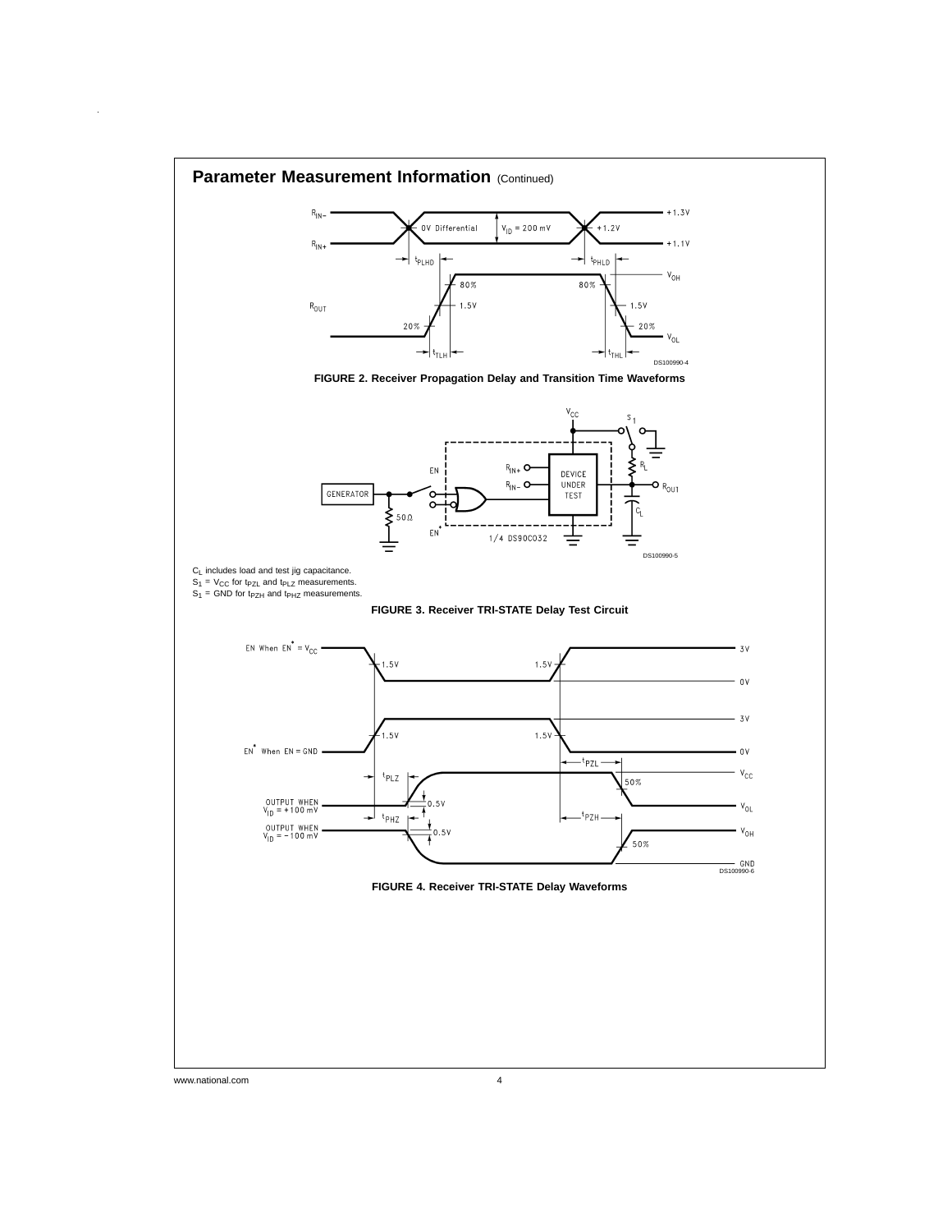

www.national.com 4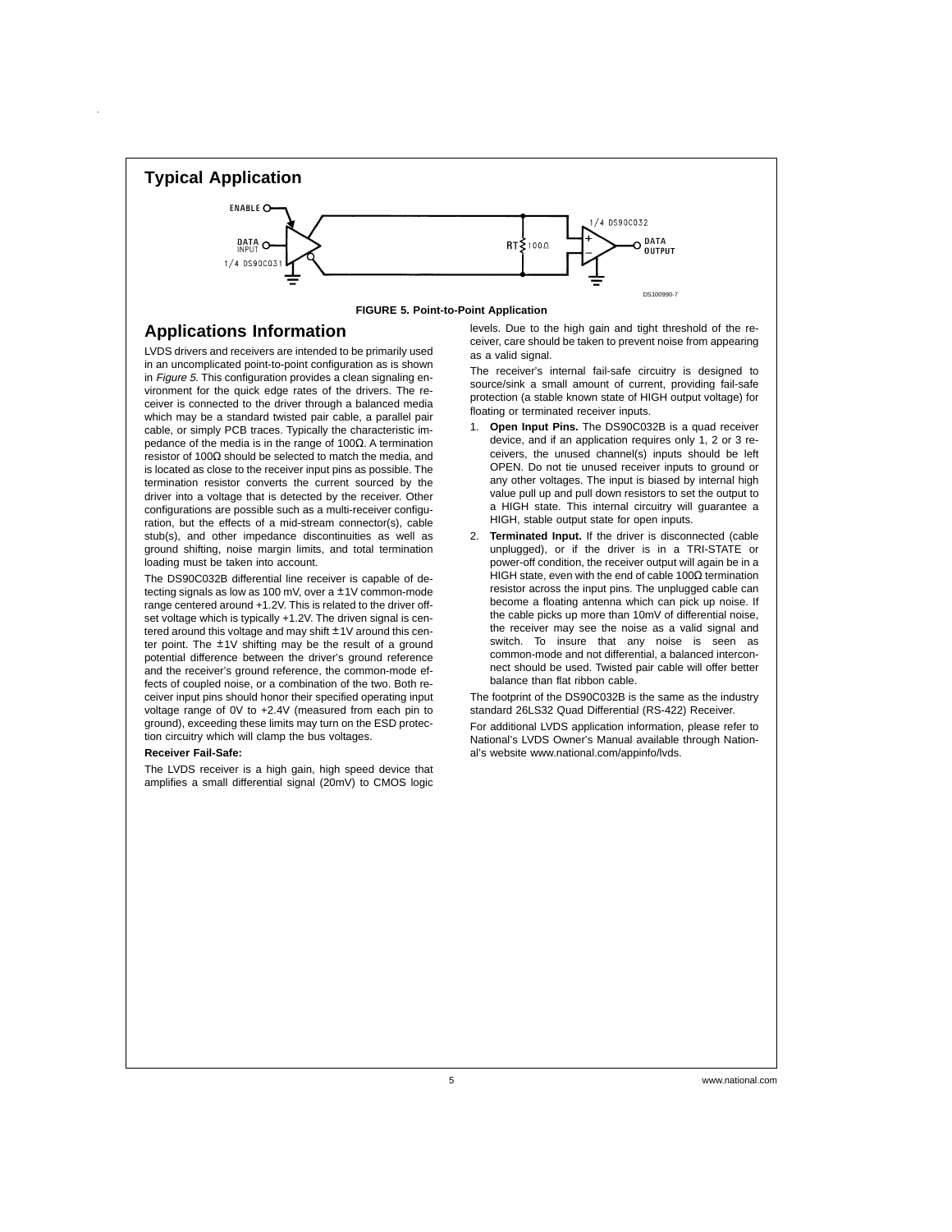

#### **Applications Information**

LVDS drivers and receivers are intended to be primarily used in an uncomplicated point-to-point configuration as is shown in Figure 5. This configuration provides a clean signaling environment for the quick edge rates of the drivers. The receiver is connected to the driver through a balanced media which may be a standard twisted pair cable, a parallel pair cable, or simply PCB traces. Typically the characteristic impedance of the media is in the range of 100Ω. A termination resistor of 100Ω should be selected to match the media, and is located as close to the receiver input pins as possible. The termination resistor converts the current sourced by the driver into a voltage that is detected by the receiver. Other configurations are possible such as a multi-receiver configuration, but the effects of a mid-stream connector(s), cable stub(s), and other impedance discontinuities as well as ground shifting, noise margin limits, and total termination loading must be taken into account.

The DS90C032B differential line receiver is capable of detecting signals as low as 100 mV, over a ±1V common-mode range centered around +1.2V. This is related to the driver offset voltage which is typically +1.2V. The driven signal is centered around this voltage and may shift ±1V around this center point. The ±1V shifting may be the result of a ground potential difference between the driver's ground reference and the receiver's ground reference, the common-mode effects of coupled noise, or a combination of the two. Both receiver input pins should honor their specified operating input voltage range of 0V to +2.4V (measured from each pin to ground), exceeding these limits may turn on the ESD protection circuitry which will clamp the bus voltages.

#### **Receiver Fail-Safe:**

The LVDS receiver is a high gain, high speed device that amplifies a small differential signal (20mV) to CMOS logic

levels. Due to the high gain and tight threshold of the receiver, care should be taken to prevent noise from appearing as a valid signal.

The receiver's internal fail-safe circuitry is designed to source/sink a small amount of current, providing fail-safe protection (a stable known state of HIGH output voltage) for floating or terminated receiver inputs.

- 1. **Open Input Pins.** The DS90C032B is a quad receiver device, and if an application requires only 1, 2 or 3 receivers, the unused channel(s) inputs should be left OPEN. Do not tie unused receiver inputs to ground or any other voltages. The input is biased by internal high value pull up and pull down resistors to set the output to a HIGH state. This internal circuitry will guarantee a HIGH, stable output state for open inputs.
- 2. **Terminated Input.** If the driver is disconnected (cable unplugged), or if the driver is in a TRI-STATE or power-off condition, the receiver output will again be in a HIGH state, even with the end of cable 100Ω termination resistor across the input pins. The unplugged cable can become a floating antenna which can pick up noise. If the cable picks up more than 10mV of differential noise, the receiver may see the noise as a valid signal and switch. To insure that any noise is seen as common-mode and not differential, a balanced interconnect should be used. Twisted pair cable will offer better balance than flat ribbon cable.

The footprint of the DS90C032B is the same as the industry standard 26LS32 Quad Differential (RS-422) Receiver. For additional LVDS application information, please refer to

National's LVDS Owner's Manual available through National's website www.national.com/appinfo/lvds.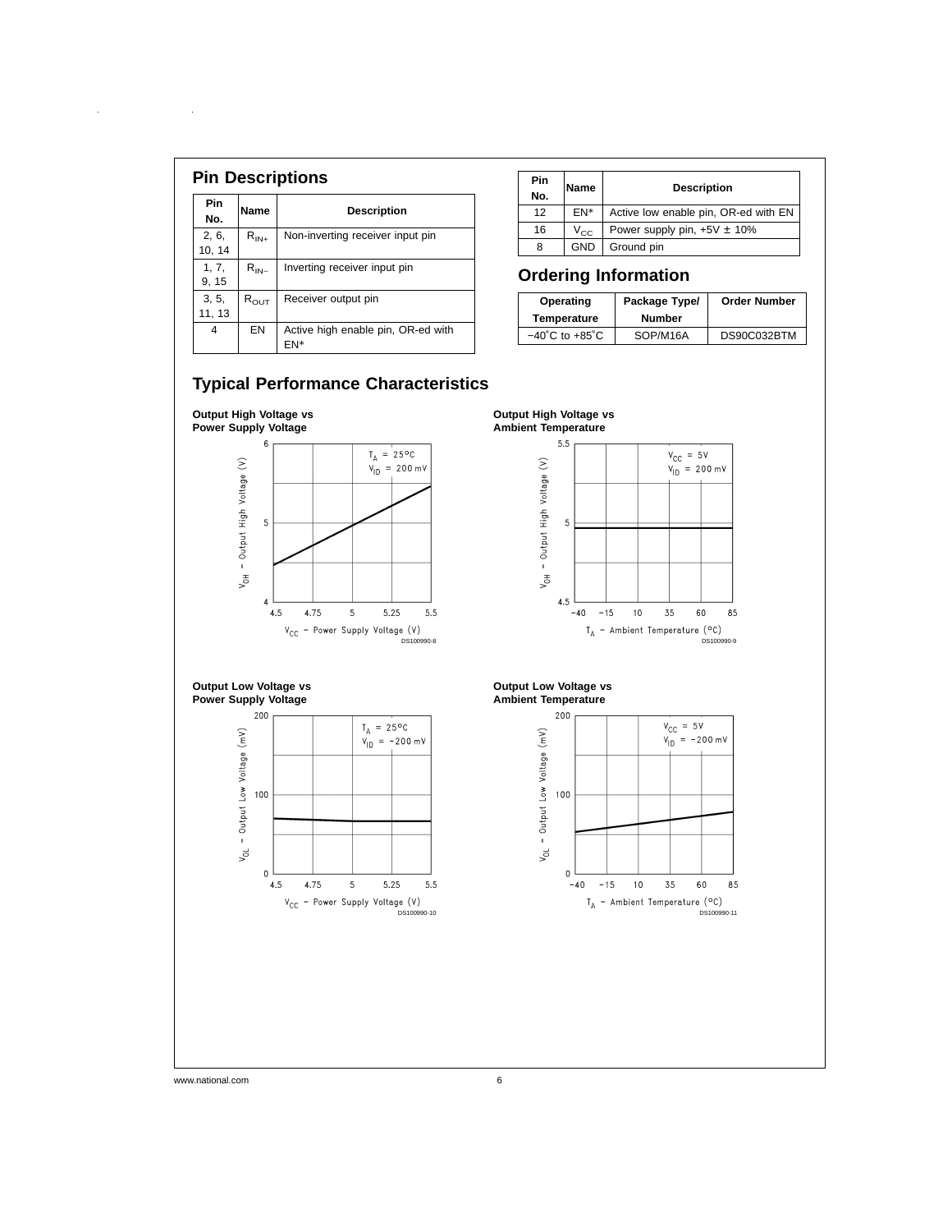| Pin<br>No.      | Name             | <b>Description</b>                        |
|-----------------|------------------|-------------------------------------------|
| 2, 6,<br>10, 14 | $R_{IN+}$        | Non-inverting receiver input pin          |
| 1, 7,<br>9, 15  | $R_{IN-}$        | Inverting receiver input pin              |
| 3, 5,<br>11, 13 | $R_{\text{OUT}}$ | Receiver output pin                       |
| 4               | EN               | Active high enable pin, OR-ed with<br>FN* |

 $\sim 10^{11}$ 

 $\hat{\boldsymbol{\theta}}$ 

| <b>Pin</b><br>No. | Name     | <b>Description</b>                   |
|-------------------|----------|--------------------------------------|
| 12                | FN*      | Active low enable pin, OR-ed with EN |
| 16                | $V_{CC}$ | Power supply pin, $+5V \pm 10\%$     |
| 8                 | GND      | Ground pin                           |

# **Ordering Information**

| Operating<br>Temperature           | Package Type/<br><b>Number</b> | <b>Order Number</b> |
|------------------------------------|--------------------------------|---------------------|
| $-40^{\circ}$ C to $+85^{\circ}$ C | SOP/M16A                       | DS90C032BTM         |

# **Typical Performance Characteristics**

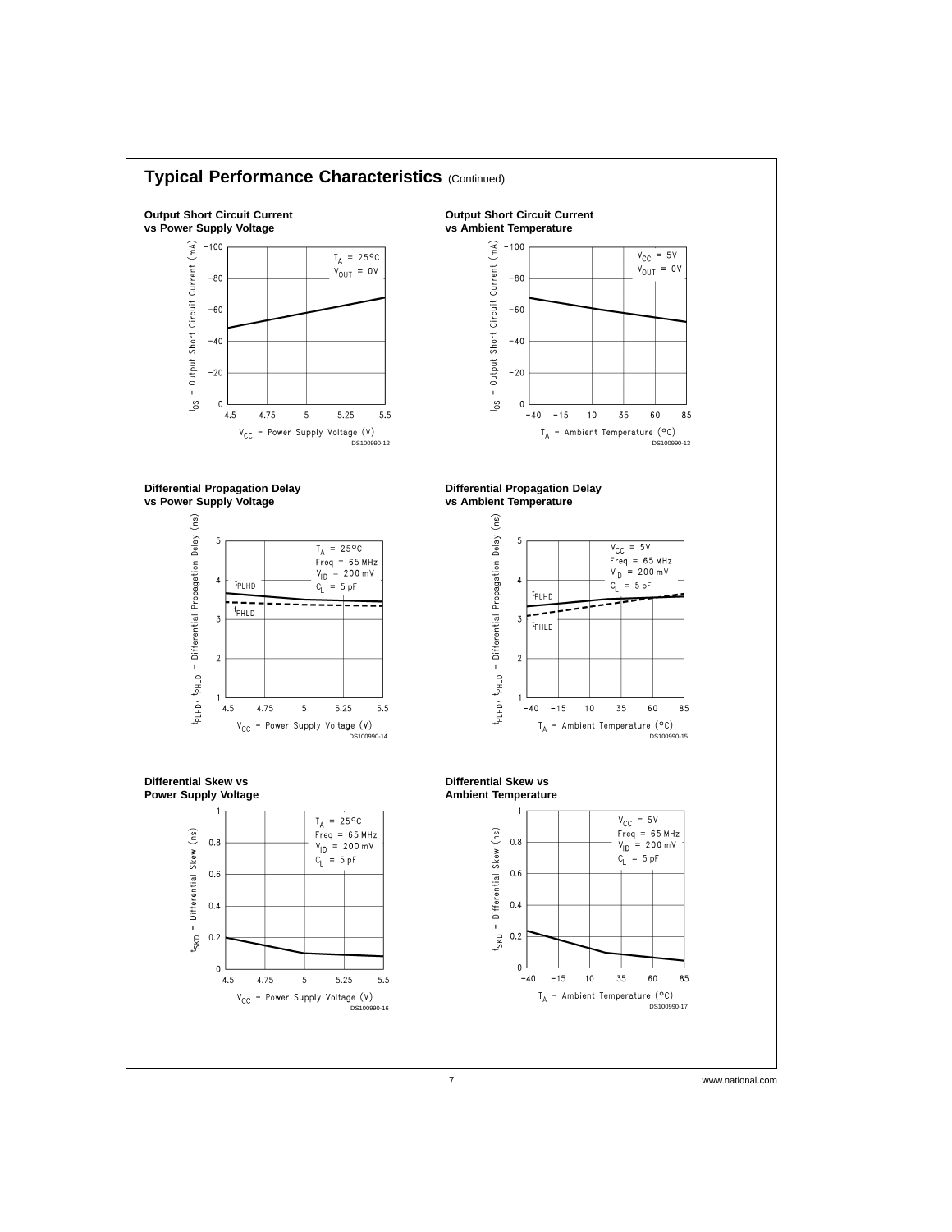

 $\hat{\boldsymbol{\beta}}$ 

7 www.national.com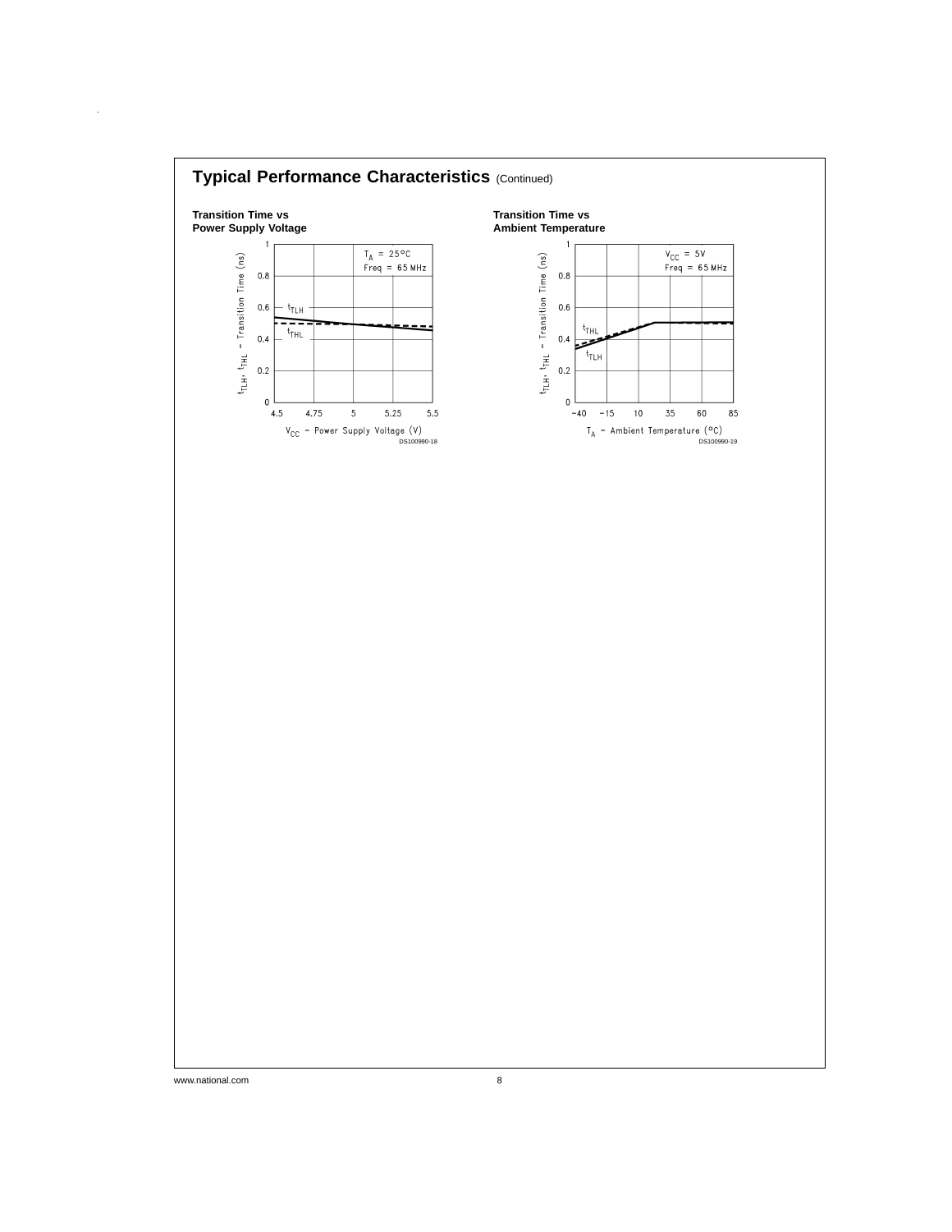

 $\hat{\boldsymbol{\theta}}$